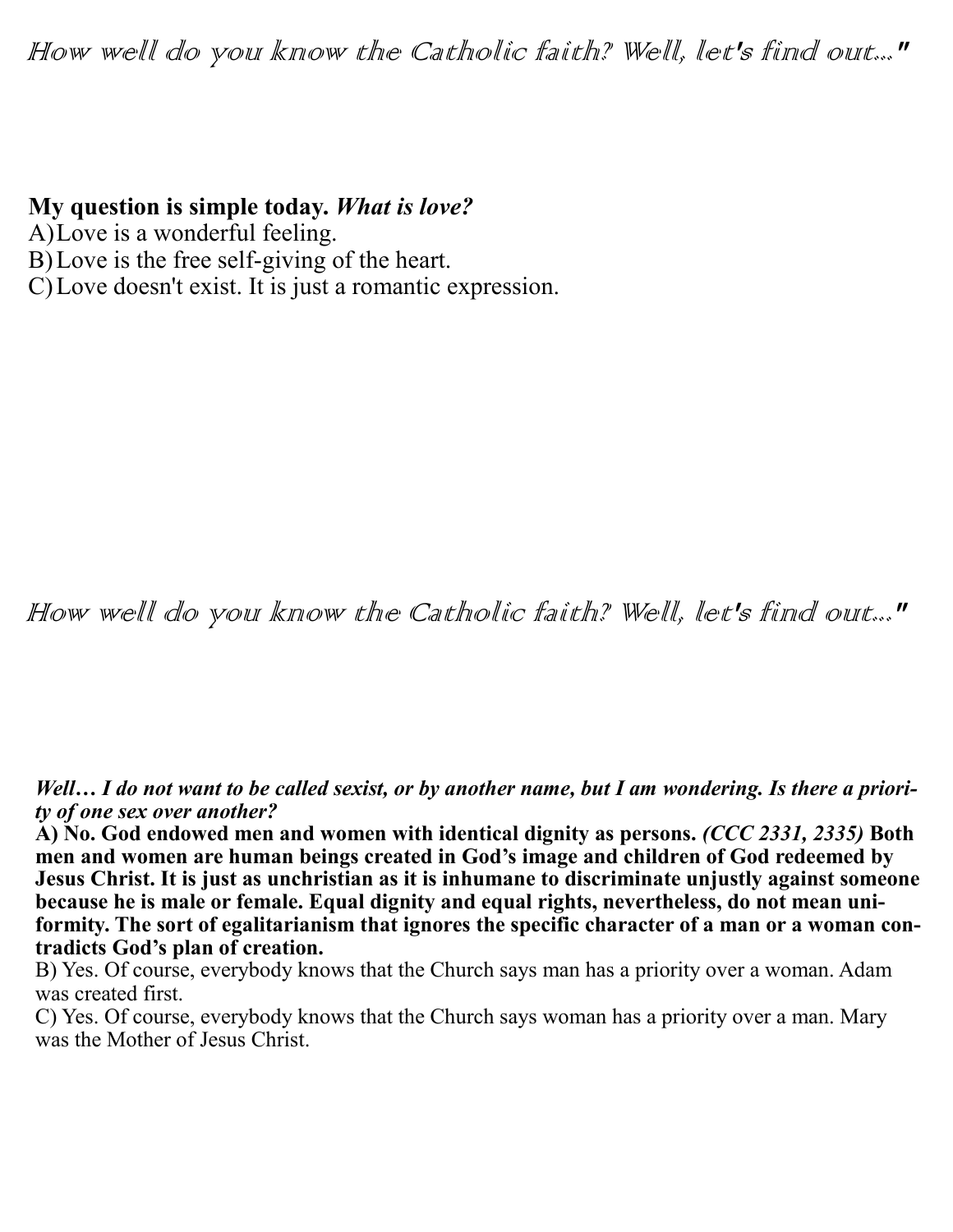## How well do you know the Catholic faith? Well, let's find out..."

## **My question is simple today.** *What is love?*

- A)Love is a wonderful feeling.
- B)Love is the free self-giving of the heart.
- C)Love doesn't exist. It is just a romantic expression.

How well do you know the Catholic faith? Well, let's find out..."

Well... I do not want to be called sexist, or by another name, but I am wondering. Is there a priori*ty of one sex over another?* 

**A) No. God endowed men and women with identical dignity as persons.** *(CCC 2331, 2335)* **Both men and women are human beings created in God's image and children of God redeemed by Jesus Christ. It is just as unchristian as it is inhumane to discriminate unjustly against someone because he is male or female. Equal dignity and equal rights, nevertheless, do not mean uniformity. The sort of egalitarianism that ignores the specific character of a man or a woman contradicts God's plan of creation.** 

B) Yes. Of course, everybody knows that the Church says man has a priority over a woman. Adam was created first.

C) Yes. Of course, everybody knows that the Church says woman has a priority over a man. Mary was the Mother of Jesus Christ.